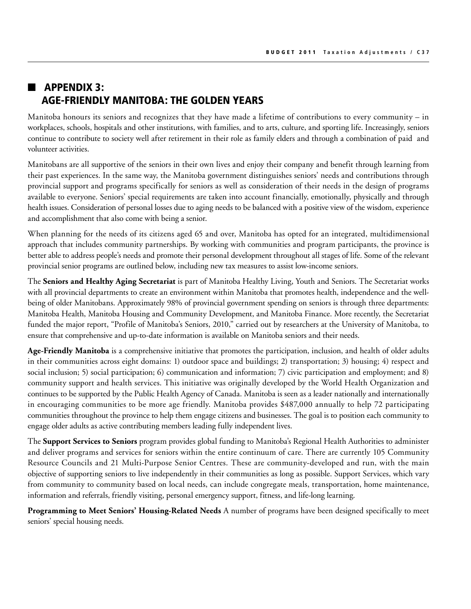## $\blacksquare$  APPENDIX 3: Age-Friendly Manitoba: the golden years

Manitoba honours its seniors and recognizes that they have made a lifetime of contributions to every community – in workplaces, schools, hospitals and other institutions, with families, and to arts, culture, and sporting life. Increasingly, seniors continue to contribute to society well after retirement in their role as family elders and through a combination of paid and volunteer activities.

Manitobans are all supportive of the seniors in their own lives and enjoy their company and benefit through learning from their past experiences. In the same way, the Manitoba government distinguishes seniors' needs and contributions through provincial support and programs specifically for seniors as well as consideration of their needs in the design of programs available to everyone. Seniors' special requirements are taken into account financially, emotionally, physically and through health issues. Consideration of personal losses due to aging needs to be balanced with a positive view of the wisdom, experience and accomplishment that also come with being a senior.

When planning for the needs of its citizens aged 65 and over, Manitoba has opted for an integrated, multidimensional approach that includes community partnerships. By working with communities and program participants, the province is better able to address people's needs and promote their personal development throughout all stages of life. Some of the relevant provincial senior programs are outlined below, including new tax measures to assist low-income seniors.

The **Seniors and Healthy Aging Secretariat** is part of Manitoba Healthy Living, Youth and Seniors. The Secretariat works with all provincial departments to create an environment within Manitoba that promotes health, independence and the wellbeing of older Manitobans. Approximately 98% of provincial government spending on seniors is through three departments: Manitoba Health, Manitoba Housing and Community Development, and Manitoba Finance. More recently, the Secretariat funded the major report, "Profile of Manitoba's Seniors, 2010," carried out by researchers at the University of Manitoba, to ensure that comprehensive and up-to-date information is available on Manitoba seniors and their needs.

**Age-Friendly Manitoba** is a comprehensive initiative that promotes the participation, inclusion, and health of older adults in their communities across eight domains: 1) outdoor space and buildings; 2) transportation; 3) housing; 4) respect and social inclusion; 5) social participation; 6) communication and information; 7) civic participation and employment; and 8) community support and health services. This initiative was originally developed by the World Health Organization and continues to be supported by the Public Health Agency of Canada. Manitoba is seen as a leader nationally and internationally in encouraging communities to be more age friendly. Manitoba provides \$487,000 annually to help 72 participating communities throughout the province to help them engage citizens and businesses. The goal is to position each community to engage older adults as active contributing members leading fully independent lives.

The **Support Services to Seniors** program provides global funding to Manitoba's Regional Health Authorities to administer and deliver programs and services for seniors within the entire continuum of care. There are currently 105 Community Resource Councils and 21 Multi-Purpose Senior Centres. These are community-developed and run, with the main objective of supporting seniors to live independently in their communities as long as possible. Support Services, which vary from community to community based on local needs, can include congregate meals, transportation, home maintenance, information and referrals, friendly visiting, personal emergency support, fitness, and life-long learning.

**Programming to Meet Seniors' Housing-Related Needs** A number of programs have been designed specifically to meet seniors' special housing needs.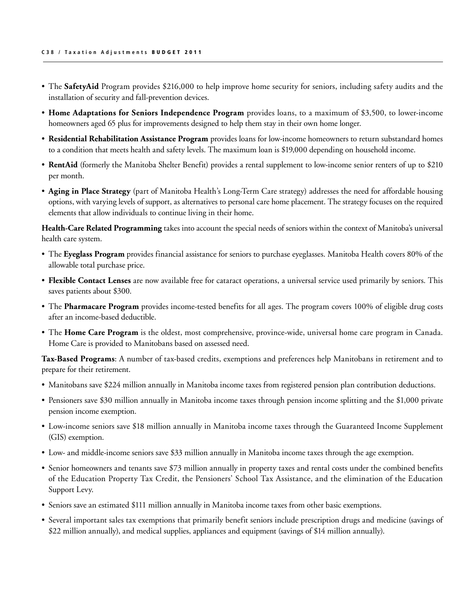- The **SafetyAid** Program provides \$216,000 to help improve home security for seniors, including safety audits and the installation of security and fall-prevention devices.
- • **Home Adaptations for Seniors Independence Program** provides loans, to a maximum of \$3,500, to lower-income homeowners aged 65 plus for improvements designed to help them stay in their own home longer.
- • **Residential Rehabilitation Assistance Program** provides loans for low-income homeowners to return substandard homes to a condition that meets health and safety levels. The maximum loan is \$19,000 depending on household income.
- • **RentAid** (formerly the Manitoba Shelter Benefit) provides a rental supplement to low-income senior renters of up to \$210 per month.
- • **Aging in Place Strategy** (part of Manitoba Health's Long-Term Care strategy) addresses the need for affordable housing options, with varying levels of support, as alternatives to personal care home placement. The strategy focuses on the required elements that allow individuals to continue living in their home.

**Health-Care Related Programming** takes into account the special needs of seniors within the context of Manitoba's universal health care system.

- • The **Eyeglass Program** provides financial assistance for seniors to purchase eyeglasses. Manitoba Health covers 80% of the allowable total purchase price.
- • **Flexible Contact Lenses** are now available free for cataract operations, a universal service used primarily by seniors. This saves patients about \$300.
- The **Pharmacare Program** provides income-tested benefits for all ages. The program covers 100% of eligible drug costs after an income-based deductible.
- • The **Home Care Program** is the oldest, most comprehensive, province-wide, universal home care program in Canada. Home Care is provided to Manitobans based on assessed need.

**Tax-Based Programs**: A number of tax-based credits, exemptions and preferences help Manitobans in retirement and to prepare for their retirement.

- Manitobans save \$224 million annually in Manitoba income taxes from registered pension plan contribution deductions.
- Pensioners save \$30 million annually in Manitoba income taxes through pension income splitting and the \$1,000 private pension income exemption.
- • Low-income seniors save \$18 million annually in Manitoba income taxes through the Guaranteed Income Supplement (GIS) exemption.
- • Low- and middle-income seniors save \$33 million annually in Manitoba income taxes through the age exemption.
- Senior homeowners and tenants save \$73 million annually in property taxes and rental costs under the combined benefits of the Education Property Tax Credit, the Pensioners' School Tax Assistance, and the elimination of the Education Support Levy.
- Seniors save an estimated \$111 million annually in Manitoba income taxes from other basic exemptions.
- • Several important sales tax exemptions that primarily benefit seniors include prescription drugs and medicine (savings of \$22 million annually), and medical supplies, appliances and equipment (savings of \$14 million annually).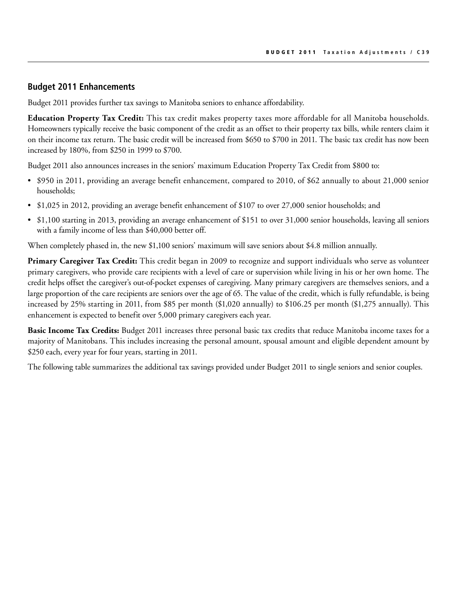## **Budget 2011 Enhancements**

Budget 2011 provides further tax savings to Manitoba seniors to enhance affordability.

**Education Property Tax Credit:** This tax credit makes property taxes more affordable for all Manitoba households. Homeowners typically receive the basic component of the credit as an offset to their property tax bills, while renters claim it on their income tax return. The basic credit will be increased from \$650 to \$700 in 2011. The basic tax credit has now been increased by 180%, from \$250 in 1999 to \$700.

Budget 2011 also announces increases in the seniors' maximum Education Property Tax Credit from \$800 to:

- • \$950 in 2011, providing an average benefit enhancement, compared to 2010, of \$62 annually to about 21,000 senior households;
- \$1,025 in 2012, providing an average benefit enhancement of \$107 to over 27,000 senior households; and
- \$1,100 starting in 2013, providing an average enhancement of \$151 to over 31,000 senior households, leaving all seniors with a family income of less than \$40,000 better off.

When completely phased in, the new \$1,100 seniors' maximum will save seniors about \$4.8 million annually.

**Primary Caregiver Tax Credit:** This credit began in 2009 to recognize and support individuals who serve as volunteer primary caregivers, who provide care recipients with a level of care or supervision while living in his or her own home. The credit helps offset the caregiver's out-of-pocket expenses of caregiving. Many primary caregivers are themselves seniors, and a large proportion of the care recipients are seniors over the age of 65. The value of the credit, which is fully refundable, is being increased by 25% starting in 2011, from \$85 per month (\$1,020 annually) to \$106.25 per month (\$1,275 annually). This enhancement is expected to benefit over 5,000 primary caregivers each year.

**Basic Income Tax Credits:** Budget 2011 increases three personal basic tax credits that reduce Manitoba income taxes for a majority of Manitobans. This includes increasing the personal amount, spousal amount and eligible dependent amount by \$250 each, every year for four years, starting in 2011.

The following table summarizes the additional tax savings provided under Budget 2011 to single seniors and senior couples.